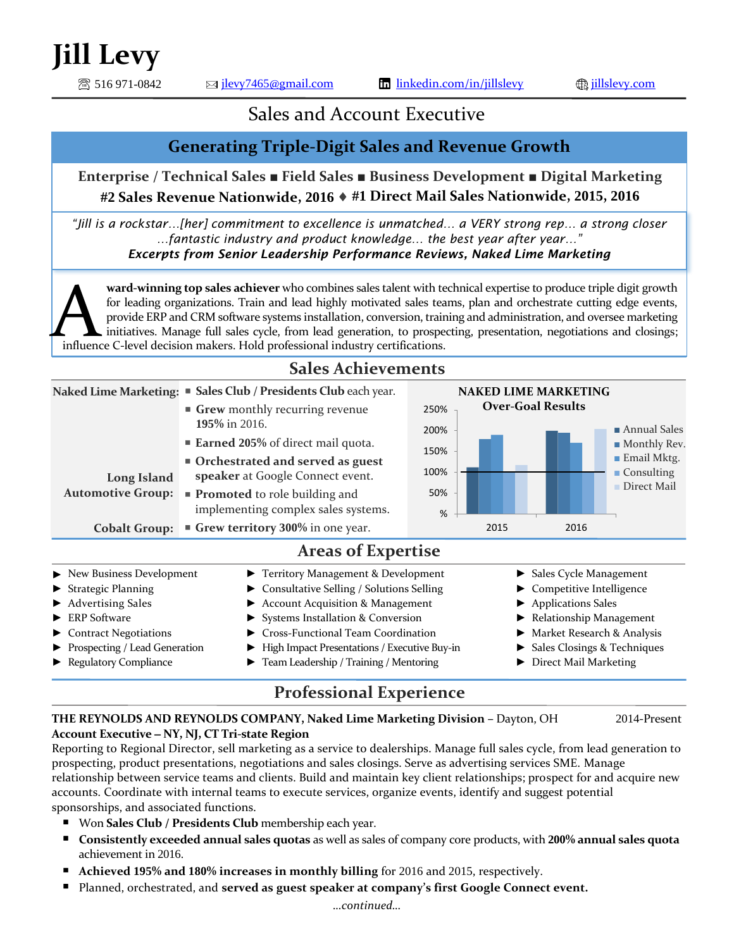$\circledR$  516 971-0842  $\qquad \qquad \text{and}$   $\qquad \qquad$   $\text{if }$   $\qquad$   $\qquad$   $\qquad$   $\qquad$   $\qquad$   $\qquad$   $\qquad$   $\qquad$   $\qquad$   $\qquad$   $\qquad$   $\qquad$   $\qquad$   $\qquad$   $\qquad$   $\qquad$   $\qquad$   $\qquad$   $\qquad$   $\qquad$   $\qquad$   $\qquad$   $\qquad$   $\qquad$   $\qquad$   $\qquad$   $\qquad$   $\qquad$   $\$ 

# Sales and Account Executive

### **Generating Triple-Digit Sales and Revenue Growth**

**Enterprise / Technical Sales** ■ **Field Sales** ■ **Business Development** ■ **Digital Marketing #2 Sales Revenue Nationwide, 2016 #1 Direct Mail Sales Nationwide, 2015, 2016**

*"Jill is a rockstar…[her] commitment to excellence is unmatched… a VERY strong rep… a strong closer …fantastic industry and product knowledge… the best year after year…" Excerpts from Senior Leadership Performance Reviews, Naked Lime Marketing*

**ward-winning top sales achiever** who combines sales talent with technical expertise to produce triple digit growth for leading organizations. Train and lead highly motivated sales teams, plan and orchestrate cutting edge events, provide ERP and CRM software systems installation, conversion, training and administration, and oversee marketing initiatives. Manage full sales cycle, from lead generation, to prospecting, presentation, negotiations and closings; ward-winning top sales achiever who combines sales talent with te for leading organizations. Train and lead highly motivated sales team provide ERP and CRM software systems installation, conversion, train initiatives. Mana



## **Professional Experience**

#### **THE REYNOLDS AND REYNOLDS COMPANY, Naked Lime Marketing Division –** Dayton, OH 2014-Present **Account Executive NY, NJ, CT Tri-state Region**

Reporting to Regional Director, sell marketing as a service to dealerships. Manage full sales cycle, from lead generation to prospecting, product presentations, negotiations and sales closings. Serve as advertising services SME. Manage relationship between service teams and clients. Build and maintain key client relationships; prospect for and acquire new accounts. Coordinate with internal teams to execute services, organize events, identify and suggest potential sponsorships, and associated functions.

- Won **Sales Club / Presidents Club** membership each year.
- **Consistently exceeded annual sales quotas** as well as sales of company core products, with **200% annual sales quota**  achievement in 2016.
- **Achieved 195% and 180% increases in monthly billing** for 2016 and 2015, respectively.
- Planned, orchestrated, and **served as guest speaker at company's first Google Connect event.**

#### *…continued…*